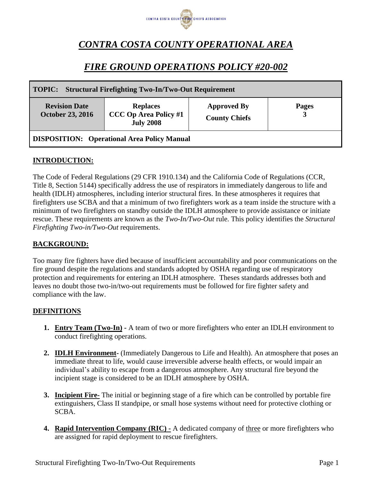

# *CONTRA COSTA COUNTY OPERATIONAL AREA*

## *FIRE GROUND OPERATIONS POLICY #20-002*

| <b>Structural Firefighting Two-In/Two-Out Requirement</b><br><b>TOPIC:</b> |                                                                     |                                            |                   |
|----------------------------------------------------------------------------|---------------------------------------------------------------------|--------------------------------------------|-------------------|
| <b>Revision Date</b><br><b>October 23, 2016</b>                            | <b>Replaces</b><br><b>CCC Op Area Policy #1</b><br><b>July 2008</b> | <b>Approved By</b><br><b>County Chiefs</b> | <b>Pages</b><br>3 |
| <b>DISPOSITION:</b> Operational Area Policy Manual                         |                                                                     |                                            |                   |

#### **INTRODUCTION:**

The Code of Federal Regulations (29 CFR 1910.134) and the California Code of Regulations (CCR, Title 8, Section 5144) specifically address the use of respirators in immediately dangerous to life and health (IDLH) atmospheres, including interior structural fires. In these atmospheres it requires that firefighters use SCBA and that a minimum of two firefighters work as a team inside the structure with a minimum of two firefighters on standby outside the IDLH atmosphere to provide assistance or initiate rescue. These requirements are known as the *Two-In/Two-Out* rule. This policy identifies the *Structural Firefighting Two-in/Two-Out* requirements.

#### **BACKGROUND:**

Too many fire fighters have died because of insufficient accountability and poor communications on the fire ground despite the regulations and standards adopted by OSHA regarding use of respiratory protection and requirements for entering an IDLH atmosphere. Theses standards addresses both and leaves no doubt those two-in/two-out requirements must be followed for fire fighter safety and compliance with the law.

#### **DEFINITIONS**

- **1. Entry Team (Two-In) -** A team of two or more firefighters who enter an IDLH environment to conduct firefighting operations.
- **2. IDLH Environment-** (Immediately Dangerous to Life and Health). An atmosphere that poses an immediate threat to life, would cause irreversible adverse health effects, or would impair an individual's ability to escape from a dangerous atmosphere. Any structural fire beyond the incipient stage is considered to be an IDLH atmosphere by OSHA.
- **3. Incipient Fire-** The initial or beginning stage of a fire which can be controlled by portable fire extinguishers, Class II standpipe, or small hose systems without need for protective clothing or SCBA.
- **4. Rapid Intervention Company (RIC) -** A dedicated company of three or more firefighters who are assigned for rapid deployment to rescue firefighters.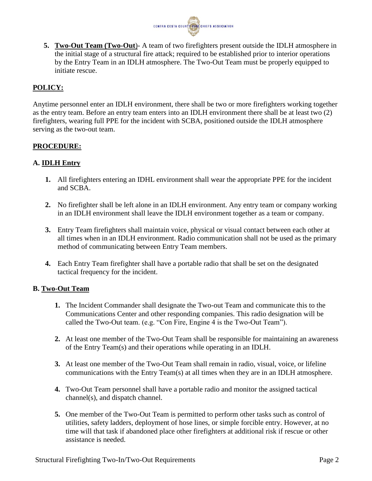

**5. Two-Out Team (Two-Out**)- A team of two firefighters present outside the IDLH atmosphere in the initial stage of a structural fire attack; required to be established prior to interior operations by the Entry Team in an IDLH atmosphere. The Two-Out Team must be properly equipped to initiate rescue.

### **POLICY:**

Anytime personnel enter an IDLH environment, there shall be two or more firefighters working together as the entry team. Before an entry team enters into an IDLH environment there shall be at least two (2) firefighters, wearing full PPE for the incident with SCBA, positioned outside the IDLH atmosphere serving as the two-out team.

#### **PROCEDURE:**

#### **A. IDLH Entry**

- **1.** All firefighters entering an IDHL environment shall wear the appropriate PPE for the incident and SCBA.
- **2.** No firefighter shall be left alone in an IDLH environment. Any entry team or company working in an IDLH environment shall leave the IDLH environment together as a team or company.
- **3.** Entry Team firefighters shall maintain voice, physical or visual contact between each other at all times when in an IDLH environment. Radio communication shall not be used as the primary method of communicating between Entry Team members.
- **4.** Each Entry Team firefighter shall have a portable radio that shall be set on the designated tactical frequency for the incident.

#### **B. Two-Out Team**

- **1.** The Incident Commander shall designate the Two-out Team and communicate this to the Communications Center and other responding companies. This radio designation will be called the Two-Out team. (e.g. "Con Fire, Engine 4 is the Two-Out Team").
- **2.** At least one member of the Two-Out Team shall be responsible for maintaining an awareness of the Entry Team(s) and their operations while operating in an IDLH.
- **3.** At least one member of the Two-Out Team shall remain in radio, visual, voice, or lifeline communications with the Entry Team(s) at all times when they are in an IDLH atmosphere.
- **4.** Two-Out Team personnel shall have a portable radio and monitor the assigned tactical channel(s), and dispatch channel.
- **5.** One member of the Two-Out Team is permitted to perform other tasks such as control of utilities, safety ladders, deployment of hose lines, or simple forcible entry. However, at no time will that task if abandoned place other firefighters at additional risk if rescue or other assistance is needed.